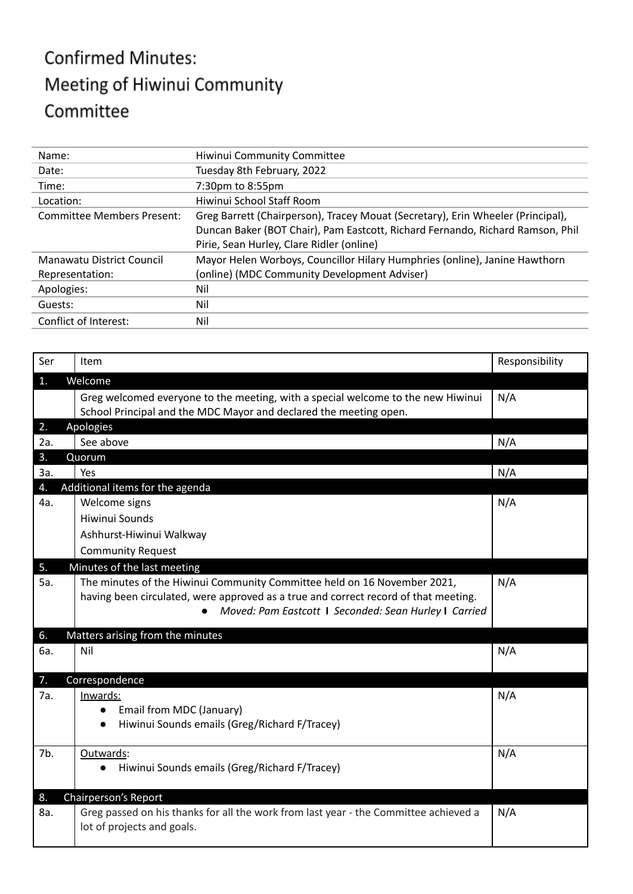## **Confirmed Minutes:** Meeting of Hiwinui Community Committee

| Name:                             | Hiwinui Community Committee                                                                                                                                       |
|-----------------------------------|-------------------------------------------------------------------------------------------------------------------------------------------------------------------|
| Date:                             | Tuesday 8th February, 2022                                                                                                                                        |
| Time:                             | 7:30pm to 8:55pm                                                                                                                                                  |
| Location:                         | Hiwinui School Staff Room                                                                                                                                         |
| <b>Committee Members Present:</b> | Greg Barrett (Chairperson), Tracey Mouat (Secretary), Erin Wheeler (Principal),<br>Duncan Baker (BOT Chair), Pam Eastcott, Richard Fernando, Richard Ramson, Phil |
|                                   | Pirie, Sean Hurley, Clare Ridler (online)                                                                                                                         |
| Manawatu District Council         | Mayor Helen Worboys, Councillor Hilary Humphries (online), Janine Hawthorn                                                                                        |
| Representation:                   | (online) (MDC Community Development Adviser)                                                                                                                      |
| Apologies:                        | Nil                                                                                                                                                               |
| Guests:                           | Nil                                                                                                                                                               |
| Conflict of Interest:             | Nil                                                                                                                                                               |

| Ser | Item                                                                                 | Responsibility |
|-----|--------------------------------------------------------------------------------------|----------------|
| 1.  | Welcome                                                                              |                |
|     | Greg welcomed everyone to the meeting, with a special welcome to the new Hiwinui     | N/A            |
|     | School Principal and the MDC Mayor and declared the meeting open.                    |                |
| 2.  | Apologies                                                                            |                |
| 2a. | See above                                                                            | N/A            |
| 3.  | Quorum                                                                               |                |
| За. | Yes                                                                                  | N/A            |
| 4.  | Additional items for the agenda                                                      |                |
| 4a. | Welcome signs                                                                        | N/A            |
|     | <b>Hiwinui Sounds</b>                                                                |                |
|     | Ashhurst-Hiwinui Walkway                                                             |                |
|     | <b>Community Request</b>                                                             |                |
| 5.  | Minutes of the last meeting                                                          |                |
| 5a. | The minutes of the Hiwinui Community Committee held on 16 November 2021,             | N/A            |
|     | having been circulated, were approved as a true and correct record of that meeting.  |                |
|     | Moved: Pam Eastcott 1 Seconded: Sean Hurley 1 Carried                                |                |
| 6.  | Matters arising from the minutes                                                     |                |
| 6a. | Nil                                                                                  | N/A            |
|     |                                                                                      |                |
| 7.  | Correspondence                                                                       |                |
| 7a. | Inwards:                                                                             | N/A            |
|     | Email from MDC (January)                                                             |                |
|     | Hiwinui Sounds emails (Greg/Richard F/Tracey)<br>$\bullet$                           |                |
| 7b. | Outwards:                                                                            | N/A            |
|     | Hiwinui Sounds emails (Greg/Richard F/Tracey)                                        |                |
|     |                                                                                      |                |
| 8.  | Chairperson's Report                                                                 |                |
| 8a. | Greg passed on his thanks for all the work from last year - the Committee achieved a | N/A            |
|     | lot of projects and goals.                                                           |                |
|     |                                                                                      |                |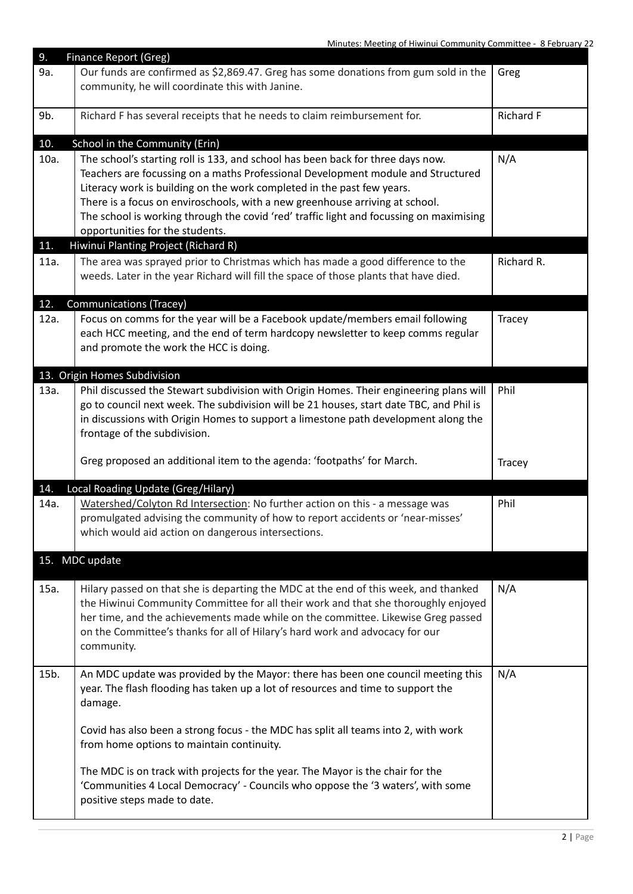| 9.          | <b>Finance Report (Greg)</b>                                                                                                                                                                                                                                                                                                                                                                                                                                                                        |            |
|-------------|-----------------------------------------------------------------------------------------------------------------------------------------------------------------------------------------------------------------------------------------------------------------------------------------------------------------------------------------------------------------------------------------------------------------------------------------------------------------------------------------------------|------------|
| 9a.         | Our funds are confirmed as \$2,869.47. Greg has some donations from gum sold in the<br>community, he will coordinate this with Janine.                                                                                                                                                                                                                                                                                                                                                              | Greg       |
| 9b.         | Richard F has several receipts that he needs to claim reimbursement for.                                                                                                                                                                                                                                                                                                                                                                                                                            | Richard F  |
| 10.         | School in the Community (Erin)                                                                                                                                                                                                                                                                                                                                                                                                                                                                      |            |
| 10a.<br>11. | The school's starting roll is 133, and school has been back for three days now.<br>Teachers are focussing on a maths Professional Development module and Structured<br>Literacy work is building on the work completed in the past few years.<br>There is a focus on enviroschools, with a new greenhouse arriving at school.<br>The school is working through the covid 'red' traffic light and focussing on maximising<br>opportunities for the students.<br>Hiwinui Planting Project (Richard R) | N/A        |
|             |                                                                                                                                                                                                                                                                                                                                                                                                                                                                                                     |            |
| 11a.        | The area was sprayed prior to Christmas which has made a good difference to the<br>weeds. Later in the year Richard will fill the space of those plants that have died.                                                                                                                                                                                                                                                                                                                             | Richard R. |
| 12.         | <b>Communications (Tracey)</b>                                                                                                                                                                                                                                                                                                                                                                                                                                                                      |            |
| 12a.        | Focus on comms for the year will be a Facebook update/members email following<br>each HCC meeting, and the end of term hardcopy newsletter to keep comms regular<br>and promote the work the HCC is doing.                                                                                                                                                                                                                                                                                          | Tracey     |
|             | 13. Origin Homes Subdivision                                                                                                                                                                                                                                                                                                                                                                                                                                                                        |            |
| 13a.        | Phil discussed the Stewart subdivision with Origin Homes. Their engineering plans will<br>go to council next week. The subdivision will be 21 houses, start date TBC, and Phil is<br>in discussions with Origin Homes to support a limestone path development along the<br>frontage of the subdivision.                                                                                                                                                                                             | Phil       |
|             | Greg proposed an additional item to the agenda: 'footpaths' for March.                                                                                                                                                                                                                                                                                                                                                                                                                              | Tracey     |
| 14.         | Local Roading Update (Greg/Hilary)                                                                                                                                                                                                                                                                                                                                                                                                                                                                  |            |
| 14a.        | Watershed/Colyton Rd Intersection: No further action on this - a message was<br>promulgated advising the community of how to report accidents or 'near-misses'<br>which would aid action on dangerous intersections.                                                                                                                                                                                                                                                                                | Phil       |
|             | 15. MDC update                                                                                                                                                                                                                                                                                                                                                                                                                                                                                      |            |
| 15a.        | Hilary passed on that she is departing the MDC at the end of this week, and thanked<br>the Hiwinui Community Committee for all their work and that she thoroughly enjoyed<br>her time, and the achievements made while on the committee. Likewise Greg passed<br>on the Committee's thanks for all of Hilary's hard work and advocacy for our<br>community.                                                                                                                                         | N/A        |
| 15b.        | An MDC update was provided by the Mayor: there has been one council meeting this<br>year. The flash flooding has taken up a lot of resources and time to support the<br>damage.                                                                                                                                                                                                                                                                                                                     | N/A        |
|             | Covid has also been a strong focus - the MDC has split all teams into 2, with work<br>from home options to maintain continuity.                                                                                                                                                                                                                                                                                                                                                                     |            |
|             | The MDC is on track with projects for the year. The Mayor is the chair for the                                                                                                                                                                                                                                                                                                                                                                                                                      |            |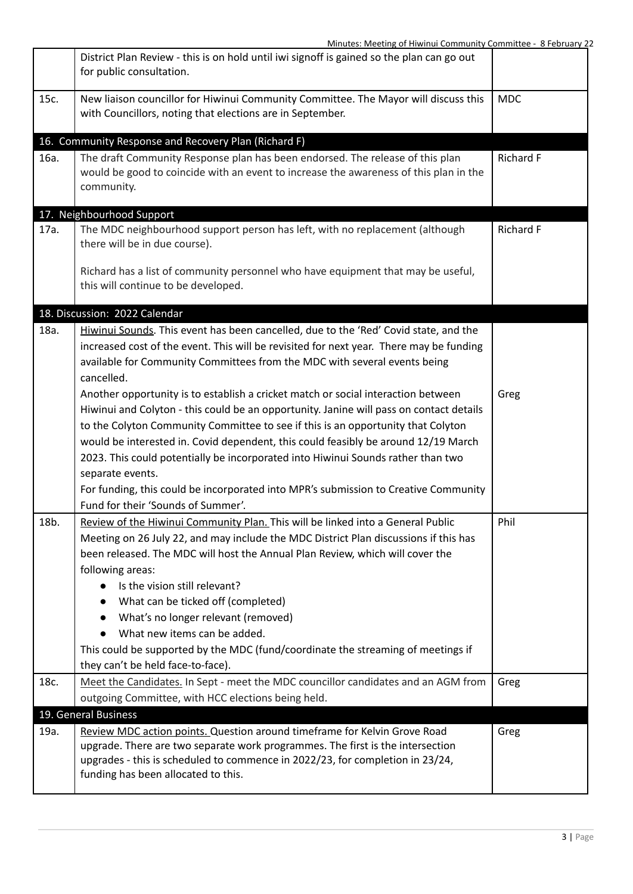|      | District Plan Review - this is on hold until iwi signoff is gained so the plan can go out<br>for public consultation.                                                                |            |
|------|--------------------------------------------------------------------------------------------------------------------------------------------------------------------------------------|------------|
| 15c. | New liaison councillor for Hiwinui Community Committee. The Mayor will discuss this<br>with Councillors, noting that elections are in September.                                     | <b>MDC</b> |
|      | 16. Community Response and Recovery Plan (Richard F)                                                                                                                                 |            |
| 16a. | The draft Community Response plan has been endorsed. The release of this plan<br>would be good to coincide with an event to increase the awareness of this plan in the<br>community. | Richard F  |
|      | 17. Neighbourhood Support                                                                                                                                                            |            |
| 17a. | The MDC neighbourhood support person has left, with no replacement (although<br>there will be in due course).                                                                        | Richard F  |
|      | Richard has a list of community personnel who have equipment that may be useful,<br>this will continue to be developed.                                                              |            |
|      | 18. Discussion: 2022 Calendar                                                                                                                                                        |            |
| 18a. | Hiwinui Sounds. This event has been cancelled, due to the 'Red' Covid state, and the                                                                                                 |            |
|      | increased cost of the event. This will be revisited for next year. There may be funding                                                                                              |            |
|      | available for Community Committees from the MDC with several events being                                                                                                            |            |
|      | cancelled.                                                                                                                                                                           |            |
|      | Another opportunity is to establish a cricket match or social interaction between                                                                                                    | Greg       |
|      | Hiwinui and Colyton - this could be an opportunity. Janine will pass on contact details                                                                                              |            |
|      | to the Colyton Community Committee to see if this is an opportunity that Colyton                                                                                                     |            |
|      | would be interested in. Covid dependent, this could feasibly be around 12/19 March                                                                                                   |            |
|      | 2023. This could potentially be incorporated into Hiwinui Sounds rather than two                                                                                                     |            |
|      | separate events.                                                                                                                                                                     |            |
|      | For funding, this could be incorporated into MPR's submission to Creative Community                                                                                                  |            |
|      | Fund for their 'Sounds of Summer'.                                                                                                                                                   |            |
| 18b. | Review of the Hiwinui Community Plan. This will be linked into a General Public                                                                                                      | Phil       |
|      | Meeting on 26 July 22, and may include the MDC District Plan discussions if this has                                                                                                 |            |
|      | been released. The MDC will host the Annual Plan Review, which will cover the                                                                                                        |            |
|      | following areas:                                                                                                                                                                     |            |
|      | Is the vision still relevant?                                                                                                                                                        |            |
|      | What can be ticked off (completed)<br>$\bullet$                                                                                                                                      |            |
|      | What's no longer relevant (removed)                                                                                                                                                  |            |
|      | What new items can be added.                                                                                                                                                         |            |
|      | This could be supported by the MDC (fund/coordinate the streaming of meetings if                                                                                                     |            |
|      | they can't be held face-to-face).                                                                                                                                                    |            |
| 18c. | Meet the Candidates. In Sept - meet the MDC councillor candidates and an AGM from                                                                                                    | Greg       |
|      | outgoing Committee, with HCC elections being held.                                                                                                                                   |            |
|      | 19. General Business                                                                                                                                                                 |            |
| 19a. | Review MDC action points. Question around timeframe for Kelvin Grove Road                                                                                                            | Greg       |
|      | upgrade. There are two separate work programmes. The first is the intersection                                                                                                       |            |
|      | upgrades - this is scheduled to commence in 2022/23, for completion in 23/24,                                                                                                        |            |
|      | funding has been allocated to this.                                                                                                                                                  |            |